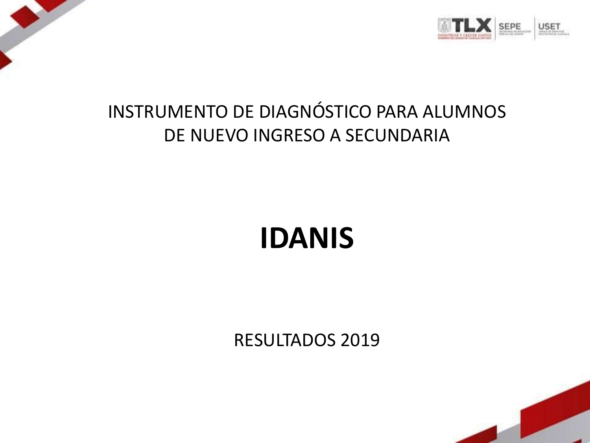

# INSTRUMENTO DE DIAGNÓSTICO PARA ALUMNOS DE NUEVO INGRESO A SECUNDARIA

# **IDANIS**

RESULTADOS 2019

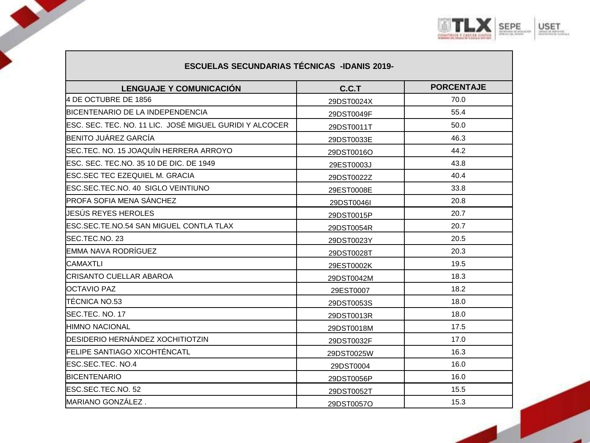

| <b>ESCUELAS SECUNDARIAS TECNICAS -IDANIS 2019-</b>      |            |                   |
|---------------------------------------------------------|------------|-------------------|
| <b>LENGUAJE Y COMUNICACIÓN</b>                          | C.C.T      | <b>PORCENTAJE</b> |
| 4 DE OCTUBRE DE 1856                                    | 29DST0024X | 70.0              |
| <b>BICENTENARIO DE LA INDEPENDENCIA</b>                 | 29DST0049F | 55.4              |
| ESC. SEC. TEC. NO. 11 LIC. JOSÉ MIGUEL GURIDI Y ALCOCER | 29DST0011T | 50.0              |
| BENITO JUÁREZ GARCÍA                                    | 29DST0033E | 46.3              |
| ISEC.TEC. NO. 15 JOAQUÍN HERRERA ARROYO                 | 29DST0016O | 44.2              |
| ESC. SEC. TEC.NO. 35 10 DE DIC. DE 1949                 | 29EST0003J | 43.8              |
| IESC.SEC TEC EZEQUIEL M. GRACIA                         | 29DST0022Z | 40.4              |
| ESC.SEC.TEC.NO. 40 SIGLO VEINTIUNO                      | 29EST0008E | 33.8              |
| <b>IPROFA SOFIA MENA SÁNCHEZ</b>                        | 29DST0046I | 20.8              |
| JESÚS REYES HEROLES                                     | 29DST0015P | 20.7              |
| IESC.SEC.TE.NO.54 SAN MIGUEL CONTLA TLAX                | 29DST0054R | 20.7              |
| ISEC.TEC.NO. 23                                         | 29DST0023Y | 20.5              |
| EMMA NAVA RODRÍGUEZ                                     | 29DST0028T | 20.3              |
| ICAMAXTLI                                               | 29EST0002K | 19.5              |
| ICRISANTO CUELLAR ABAROA                                | 29DST0042M | 18.3              |
| <b>IOCTAVIO PAZ</b>                                     | 29EST0007  | 18.2              |
| TÉCNICA NO.53                                           | 29DST0053S | 18.0              |
| SEC.TEC. NO. 17                                         | 29DST0013R | 18.0              |
| HIMNO NACIONAL                                          | 29DST0018M | 17.5              |
| IDESIDERIO HERNÁNDEZ XOCHITIOTZIN                       | 29DST0032F | 17.0              |
| <b>IFELIPE SANTIAGO XICOHTÉNCATL</b>                    | 29DST0025W | 16.3              |
| <b>IESC.SEC.TEC. NO.4</b>                               | 29DST0004  | 16.0              |
| <b>BICENTENARIO</b>                                     | 29DST0056P | 16.0              |
| ESC.SEC.TEC.NO. 52                                      | 29DST0052T | 15.5              |
| MARIANO GONZÁLEZ.                                       | 29DST0057O | 15.3              |

J

◢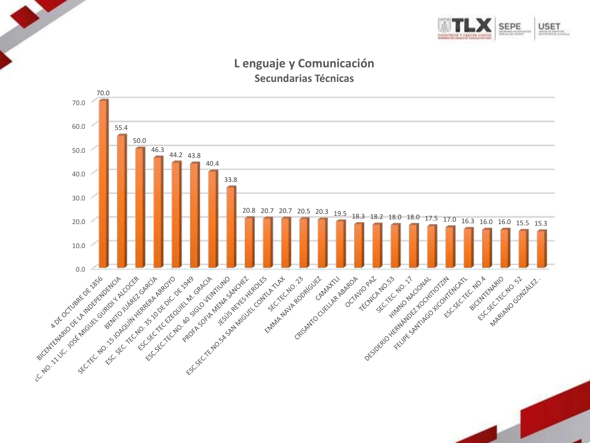

#### **L enguaje y Comunicación Secundarias Técnicas**

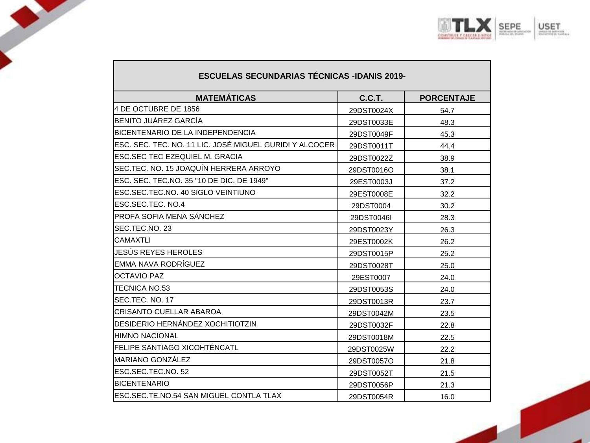

| <b>ESCUELAS SECUNDARIAS TÉCNICAS -IDANIS 2019-</b>      |            |                   |
|---------------------------------------------------------|------------|-------------------|
| <b>MATEMÁTICAS</b>                                      | C.C.T.     | <b>PORCENTAJE</b> |
| 4 DE OCTUBRE DE 1856                                    | 29DST0024X | 54.7              |
| BENITO JUÁREZ GARCÍA                                    | 29DST0033E | 48.3              |
| BICENTENARIO DE LA INDEPENDENCIA                        | 29DST0049F | 45.3              |
| ESC. SEC. TEC. NO. 11 LIC. JOSÉ MIGUEL GURIDI Y ALCOCER | 29DST0011T | 44.4              |
| ESC.SEC TEC EZEQUIEL M. GRACIA                          | 29DST0022Z | 38.9              |
| SEC.TEC. NO. 15 JOAQUÍN HERRERA ARROYO                  | 29DST0016O | 38.1              |
| ESC. SEC. TEC.NO. 35 "10 DE DIC. DE 1949"               | 29EST0003J | 37.2              |
| ESC.SEC.TEC.NO. 40 SIGLO VEINTIUNO                      | 29EST0008E | 32.2              |
| ESC.SEC.TEC. NO.4                                       | 29DST0004  | 30.2              |
| PROFA SOFIA MENA SÁNCHEZ                                | 29DST0046I | 28.3              |
| SEC.TEC.NO. 23                                          | 29DST0023Y | 26.3              |
| <b>CAMAXTLI</b>                                         | 29EST0002K | 26.2              |
| JESÚS REYES HEROLES                                     | 29DST0015P | 25.2              |
| EMMA NAVA RODRÍGUEZ                                     | 29DST0028T | 25.0              |
| <b>OCTAVIO PAZ</b>                                      | 29EST0007  | 24.0              |
| TECNICA NO.53                                           | 29DST0053S | 24.0              |
| SEC.TEC. NO. 17                                         | 29DST0013R | 23.7              |
| CRISANTO CUELLAR ABAROA                                 | 29DST0042M | 23.5              |
| DESIDERIO HERNÁNDEZ XOCHITIOTZIN                        | 29DST0032F | 22.8              |
| <b>HIMNO NACIONAL</b>                                   | 29DST0018M | 22.5              |
| <b>FELIPE SANTIAGO XICOHTÉNCATL</b>                     | 29DST0025W | 22.2              |
| <b>MARIANO GONZÁLEZ</b>                                 | 29DST0057O | 21.8              |
| ESC.SEC.TEC.NO. 52                                      | 29DST0052T | 21.5              |
| <b>BICENTENARIO</b>                                     | 29DST0056P | 21.3              |
| <b>IESC.SEC.TE.NO.54 SAN MIGUEL CONTLA TLAX</b>         | 29DST0054R | 16.0              |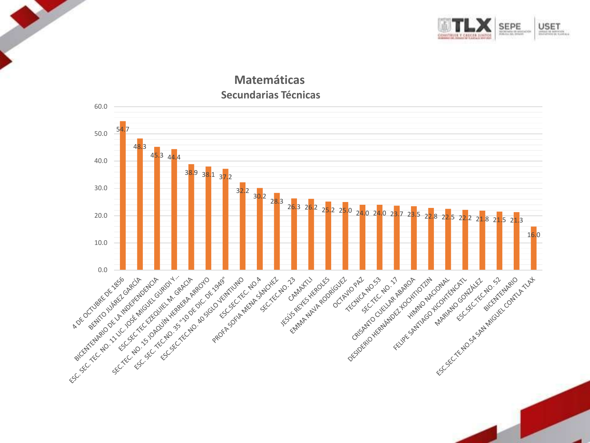

#### **Matemáticas Secundarias Técnicas**

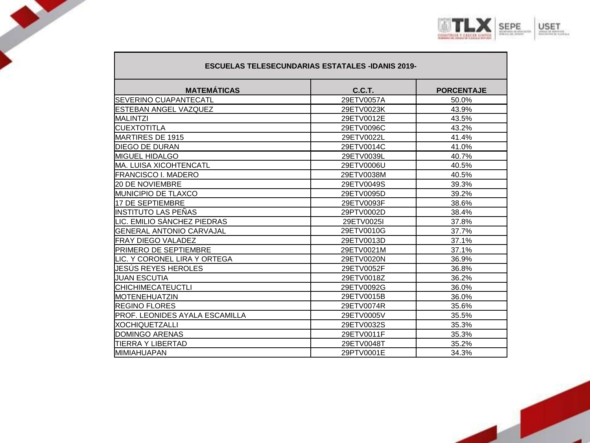

| <b>ESCUELAS TELESECUNDARIAS ESTATALES -IDANIS 2019-</b> |               |                   |
|---------------------------------------------------------|---------------|-------------------|
| <b>MATEMÁTICAS</b>                                      | <b>C.C.T.</b> | <b>PORCENTAJE</b> |
| <b>SEVERINO CUAPANTECATL</b>                            | 29ETV0057A    | 50.0%             |
| <b>IESTEBAN ANGEL VAZQUEZ</b>                           | 29ETV0023K    | 43.9%             |
| <b>IMALINTZI</b>                                        | 29ETV0012E    | 43.5%             |
| ICUEXTOTITLA                                            | 29ETV0096C    | 43.2%             |
| MARTIRES DE 1915                                        | 29ETV0022L    | 41.4%             |
| <b>DIEGO DE DURAN</b>                                   | 29ETV0014C    | 41.0%             |
| <b>IMIGUEL HIDALGO</b>                                  | 29ETV0039L    | 40.7%             |
| IMA. LUISA XICOHTENCATL                                 | 29ETV0006U    | 40.5%             |
| <b>FRANCISCO I. MADERO</b>                              | 29ETV0038M    | 40.5%             |
| <b>20 DE NOVIEMBRE</b>                                  | 29ETV0049S    | 39.3%             |
| <b>IMUNICIPIO DE TLAXCO</b>                             | 29ETV0095D    | 39.2%             |
| 17 DE SEPTIEMBRE                                        | 29ETV0093F    | 38.6%             |
| IINSTITUTO LAS PEÑAS                                    | 29PTV0002D    | 38.4%             |
| LIC. EMILIO SÀNCHEZ PIEDRAS                             | 29ETV0025I    | 37.8%             |
| IGENERAL ANTONIO CARVAJAL                               | 29ETV0010G    | 37.7%             |
| <b>IFRAY DIEGO VALADEZ</b>                              | 29ETV0013D    | 37.1%             |
| <b>PRIMERO DE SEPTIEMBRE</b>                            | 29ETV0021M    | 37.1%             |
| ILIC. Y CORONEL LIRA Y ORTEGA                           | 29ETV0020N    | 36.9%             |
| UESUS REYES HEROLES                                     | 29ETV0052F    | 36.8%             |
| <b>JUAN ESCUTIA</b>                                     | 29ETV0018Z    | 36.2%             |
| <b>CHICHIMECATEUCTLI</b>                                | 29ETV0092G    | 36.0%             |
| MOTENEHUATZIN                                           | 29ETV0015B    | 36.0%             |
| <b>IREGINO FLORES</b>                                   | 29ETV0074R    | 35.6%             |
| PROF. LEONIDES AYALA ESCAMILLA                          | 29ETV0005V    | 35.5%             |
| IXOCHIQUETZALLI                                         | 29ETV0032S    | 35.3%             |
| <b>DOMINGO ARENAS</b>                                   | 29ETV0011F    | 35.3%             |
| ITIERRA Y LIBERTAD                                      | 29ETV0048T    | 35.2%             |
| <b>MIMIAHUAPAN</b>                                      | 29PTV0001E    | 34.3%             |

J

J

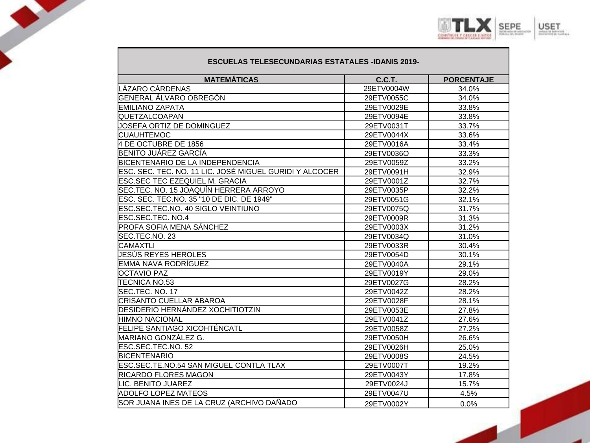

#### **ESCUELAS TELESECUNDARIAS ESTATALES -IDANIS 2019-**

 $\mathcal{L}$ 

| <b>MATEMÁTICAS</b>                                      | <b>C.C.T.</b> | <b>PORCENTAJE</b> |
|---------------------------------------------------------|---------------|-------------------|
| ÁZARO CÁRDENAS                                          | 29ETV0004W    | 34.0%             |
| GENERAL ÁLVARO OBREGÓN                                  | 29ETV0055C    | 34.0%             |
| <b>EMILIANO ZAPATA</b>                                  | 29ETV0029E    | 33.8%             |
| QUETZALCOAPAN                                           | 29ETV0094E    | 33.8%             |
| JOSEFA ORTIZ DE DOMINGUEZ                               | 29ETV0031T    | 33.7%             |
| <b>CUAUHTEMOC</b>                                       | 29ETV0044X    | 33.6%             |
| 4 DE OCTUBRE DE 1856                                    | 29ETV0016A    | 33.4%             |
| BENITO JUÁREZ GARCÍA                                    | 29ETV0036O    | 33.3%             |
| BICENTENARIO DE LA INDEPENDENCIA                        | 29ETV0059Z    | 33.2%             |
| ESC. SEC. TEC. NO. 11 LIC. JOSÉ MIGUEL GURIDI Y ALCOCER | 29ETV0091H    | 32.9%             |
| ESC.SEC TEC EZEQUIEL M. GRACIA                          | 29ETV0001Z    | 32.7%             |
| SEC.TEC. NO. 15 JOAQUÍN HERRERA ARROYO                  | 29ETV0035P    | 32.2%             |
| ESC. SEC. TEC.NO. 35 "10 DE DIC. DE 1949"               | 29ETV0051G    | 32.1%             |
| ESC.SEC.TEC.NO. 40 SIGLO VEINTIUNO                      | 29ETV0075Q    | 31.7%             |
| ESC.SEC.TEC. NO.4                                       | 29ETV0009R    | 31.3%             |
| PROFA SOFIA MENA SÁNCHEZ                                | 29ETV0003X    | 31.2%             |
| SEC.TEC.NO. 23                                          | 29ETV0034Q    | 31.0%             |
| <b>CAMAXTLI</b>                                         | 29ETV0033R    | 30.4%             |
| JESÚS REYES HEROLES                                     | 29ETV0054D    | 30.1%             |
| EMMA NAVA RODRÍGUEZ                                     | 29ETV0040A    | 29.1%             |
| <b>OCTAVIO PAZ</b>                                      | 29ETV0019Y    | 29.0%             |
| TECNICA NO.53                                           | 29ETV0027G    | 28.2%             |
| SEC.TEC. NO. 17                                         | 29ETV0042Z    | 28.2%             |
| CRISANTO CUELLAR ABAROA                                 | 29ETV0028F    | 28.1%             |
| DESIDERIO HERNÁNDEZ XOCHITIOTZIN                        | 29ETV0053E    | 27.8%             |
| HIMNO NACIONAL                                          | 29ETV0041Z    | 27.6%             |
| <b>FELIPE SANTIAGO XICOHTÉNCATL</b>                     | 29ETV0058Z    | 27.2%             |
| MARIANO GONZÁLEZ G.                                     | 29ETV0050H    | 26.6%             |
| ESC.SEC.TEC.NO. 52                                      | 29ETV0026H    | 25.0%             |
| <b>BICENTENARIO</b>                                     | 29ETV0008S    | 24.5%             |
| ESC.SEC.TE.NO.54 SAN MIGUEL CONTLA TLAX                 | 29ETV0007T    | 19.2%             |
| RICARDO FLORES MAGON                                    | 29ETV0043Y    | 17.8%             |
| <b>LIC. BENITO JUAREZ</b>                               | 29ETV0024J    | 15.7%             |
| ADOLFO LOPEZ MATEOS                                     | 29ETV0047U    | 4.5%              |
| SOR JUANA INES DE LA CRUZ (ARCHIVO DAÑADO               | 29ETV0002Y    | 0.0%              |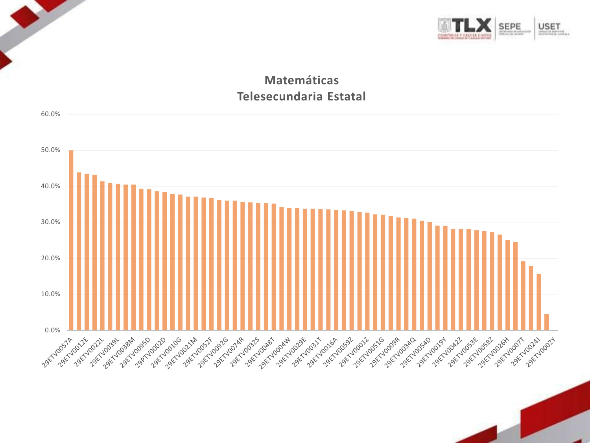

## **Matemáticas Telesecundaria Estatal**

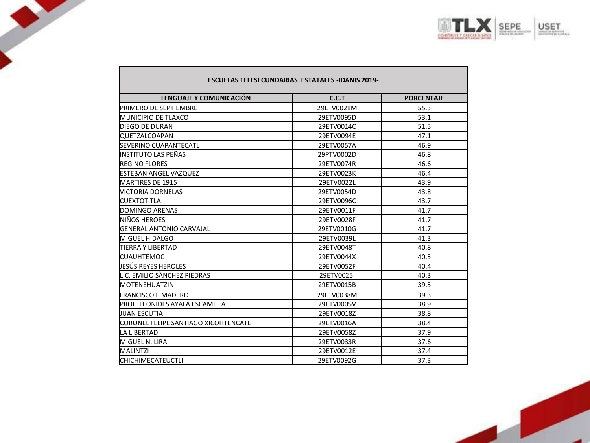

| <b>ESCUELAS TELESECUNDARIAS ESTATALES -IDANIS 2019-</b> |            |                   |
|---------------------------------------------------------|------------|-------------------|
| LENGUAJE Y COMUNICACIÓN                                 | C.C.T      | <b>PORCENTAJE</b> |
| <b>IPRIMERO DE SEPTIEMBRE</b>                           | 29ETV0021M | 55.3              |
| <b>MUNICIPIO DE TLAXCO</b>                              | 29ETV0095D | 53.1              |
| <b>DIEGO DE DURAN</b>                                   | 29ETV0014C | 51.5              |
| <b>QUETZALCOAPAN</b>                                    | 29ETV0094E | 47.1              |
| <b>SEVERINO CUAPANTECATL</b>                            | 29ETV0057A | 46.9              |
| INSTITUTO LAS PEÑAS                                     | 29PTV0002D | 46.8              |
| <b>REGINO FLORES</b>                                    | 29ETV0074R | 46.6              |
| <b>ESTEBAN ANGEL VAZQUEZ</b>                            | 29ETV0023K | 46.4              |
| MARTIRES DE 1915                                        | 29ETV0022L | 43.9              |
| <b>VICTORIA DORNELAS</b>                                | 29ETV0054D | 43.8              |
| <b>CUEXTOTITLA</b>                                      | 29ETV0096C | 43.7              |
| DOMINGO ARENAS                                          | 29ETV0011F | 41.7              |
| NIÑOS HEROES                                            | 29ETV0028F | 41.7              |
| <b>GENERAL ANTONIO CARVAJAL</b>                         | 29ETV0010G | 41.7              |
| <b>MIGUEL HIDALGO</b>                                   | 29ETV0039L | 41.3              |
| <b>TIERRA Y LIBERTAD</b>                                | 29ETV0048T | 40.8              |
| <b>CUAUHTEMOC</b>                                       | 29ETV0044X | 40.5              |
| UESÚS REYES HEROLES                                     | 29ETV0052F | 40.4              |
| LIC. EMILIO SÀNCHEZ PIEDRAS                             | 29ETV0025I | 40.3              |
| <b>MOTENEHUATZIN</b>                                    | 29ETV0015B | 39.5              |
| <b>FRANCISCO I. MADERO</b>                              | 29ETV0038M | 39.3              |
| PROF. LEONIDES AYALA ESCAMILLA                          | 29ETV0005V | 38.9              |
| <b>JUAN ESCUTIA</b>                                     | 29ETV0018Z | 38.8              |
| <b>ICORONEL FELIPE SANTIAGO XICOHTENCATL</b>            | 29ETV0016A | 38.4              |
| <b>LA LIBERTAD</b>                                      | 29ETV0058Z | 37.9              |
| MIGUEL N. LIRA                                          | 29ETV0033R | 37.6              |
| <b>MALINTZI</b>                                         | 29ETV0012E | 37.4              |
| <b>CHICHIMECATEUCTLI</b>                                | 29ETV0092G | 37.3              |

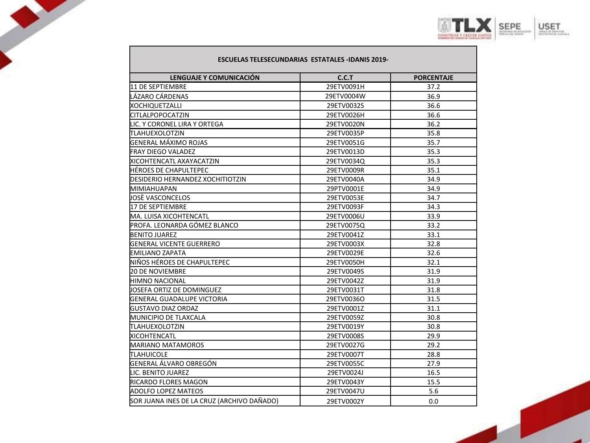

#### **ESCUELAS TELESECUNDARIAS ESTATALES -IDANIS 2019-**

| LENGUAJE Y COMUNICACIÓN                    | C.C.T      | <b>PORCENTAJE</b> |
|--------------------------------------------|------------|-------------------|
| 11 DE SEPTIEMBRE                           | 29ETV0091H | 37.2              |
| LÁZARO CÁRDENAS                            | 29ETV0004W | 36.9              |
| <b>XOCHIQUETZALLI</b>                      | 29ETV0032S | 36.6              |
| <b>CITLALPOPOCATZIN</b>                    | 29ETV0026H | 36.6              |
| LIC. Y CORONEL LIRA Y ORTEGA               | 29ETV0020N | 36.2              |
| TLAHUEXOLOTZIN                             | 29ETV0035P | 35.8              |
| GENERAL MÁXIMO ROJAS                       | 29ETV0051G | 35.7              |
| <b>FRAY DIEGO VALADEZ</b>                  | 29ETV0013D | 35.3              |
| <b>XICOHTENCATL AXAYACATZIN</b>            | 29ETV0034Q | 35.3              |
| <b>I</b> HÉROES DE CHAPULTEPEC             | 29ETV0009R | 35.1              |
| <b>IDESIDERIO HERNANDEZ XOCHITIOTZIN</b>   | 29ETV0040A | 34.9              |
| MIMIAHUAPAN                                | 29PTV0001E | 34.9              |
| JOSÈ VASCONCELOS                           | 29ETV0053E | 34.7              |
| 17 DE SEPTIEMBRE                           | 29ETV0093F | 34.3              |
| <b>I</b> MA. LUISA XICOHTENCATL            | 29ETV0006U | 33.9              |
| PROFA. LEONARDA GÓMEZ BLANCO               | 29ETV0075Q | 33.2              |
| <b>BENITO JUAREZ</b>                       | 29ETV0041Z | 33.1              |
| <b>I</b> GENERAL VICENTE GUERRERO          | 29ETV0003X | 32.8              |
| EMILIANO ZAPATA                            | 29ETV0029E | 32.6              |
| NIÑOS HÉROES DE CHAPULTEPEC                | 29ETV0050H | 32.1              |
| <b>20 DE NOVIEMBRE</b>                     | 29ETV0049S | 31.9              |
| <b>HIMNO NACIONAL</b>                      | 29ETV0042Z | 31.9              |
| UOSEFA ORTIZ DE DOMINGUEZ                  | 29ETV0031T | 31.8              |
| <b>I</b> GENERAL GUADALUPE VICTORIA        | 29ETV0036O | 31.5              |
| <b>I</b> GUSTAVO DIAZ ORDAZ                | 29ETV0001Z | 31.1              |
| <b>MUNICIPIO DE TLAXCALA</b>               | 29ETV0059Z | 30.8              |
| TLAHUEXOLOTZIN                             | 29ETV0019Y | 30.8              |
| <b>XICOHTENCATL</b>                        | 29ETV0008S | 29.9              |
| <b>MARIANO MATAMOROS</b>                   | 29ETV0027G | 29.2              |
| TLAHUICOLE                                 | 29ETV0007T | 28.8              |
| GENERAL ÁLVARO OBREGÓN                     | 29ETV0055C | 27.9              |
| LIC. BENITO JUAREZ                         | 29ETV0024J | 16.5              |
| <b>RICARDO FLORES MAGON</b>                | 29ETV0043Y | 15.5              |
| <b>ADOLFO LOPEZ MATEOS</b>                 | 29ETV0047U | 5.6               |
| SOR JUANA INES DE LA CRUZ (ARCHIVO DAÑADO) | 29ETV0002Y | 0.0               |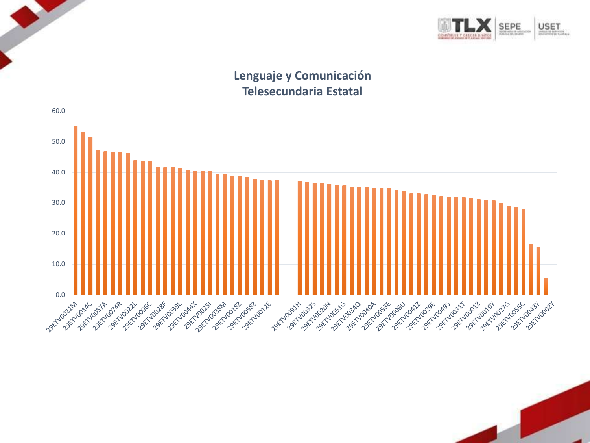

### **Lenguaje y Comunicación Telesecundaria Estatal**

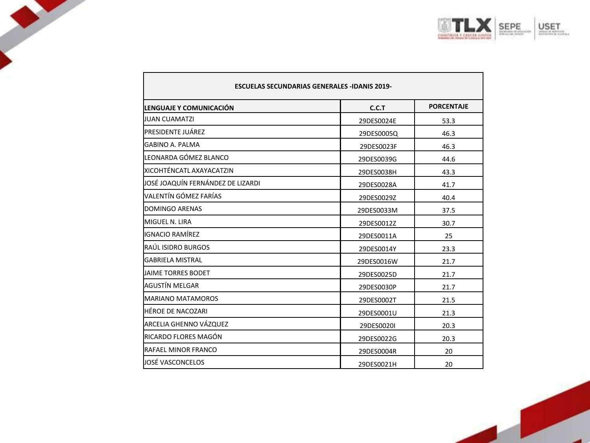

| <b>ESCUELAS SECUNDARIAS GENERALES -IDANIS 2019-</b> |            |                   |
|-----------------------------------------------------|------------|-------------------|
| LENGUAJE Y COMUNICACIÓN                             | C.C.T      | <b>PORCENTAJE</b> |
| <b>JUAN CUAMATZI</b>                                | 29DES0024E | 53.3              |
| <b>PRESIDENTE JUÁREZ</b>                            | 29DES0005Q | 46.3              |
| GABINO A. PALMA                                     | 29DES0023F | 46.3              |
| LEONARDA GÓMEZ BLANCO                               | 29DES0039G | 44.6              |
| XICOHTÉNCATL AXAYACATZIN                            | 29DES0038H | 43.3              |
| JOSÉ JOAQUÍN FERNÁNDEZ DE LIZARDI                   | 29DES0028A | 41.7              |
| VALENTÍN GÓMEZ FARÍAS                               | 29DES0029Z | 40.4              |
| DOMINGO ARENAS                                      | 29DES0033M | 37.5              |
| MIGUEL N. LIRA                                      | 29DES0012Z | 30.7              |
| IGNACIO RAMÍREZ                                     | 29DES0011A | 25                |
| RAÚL ISIDRO BURGOS                                  | 29DES0014Y | 23.3              |
| <b>GABRIELA MISTRAL</b>                             | 29DES0016W | 21.7              |
| JAIME TORRES BODET                                  | 29DES0025D | 21.7              |
| AGUSTÍN MELGAR                                      | 29DES0030P | 21.7              |
| <b>MARIANO MATAMOROS</b>                            | 29DES0002T | 21.5              |
| HÉROE DE NACOZARI                                   | 29DES0001U | 21.3              |
| ARCELIA GHENNO VÁZQUEZ                              | 29DES0020I | 20.3              |
| RICARDO FLORES MAGÓN                                | 29DES0022G | 20.3              |
| RAFAEL MINOR FRANCO                                 | 29DES0004R | 20                |
| JOSÉ VASCONCELOS                                    | 29DES0021H | 20                |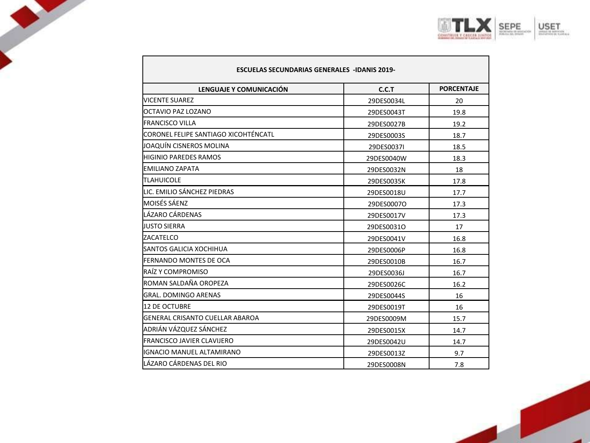

| <b>ESCUELAS SECUNDARIAS GENERALES -IDANIS 2019-</b> |            |                   |
|-----------------------------------------------------|------------|-------------------|
| LENGUAJE Y COMUNICACIÓN                             | C.C.T      | <b>PORCENTAJE</b> |
| <b>NICENTE SUAREZ</b>                               | 29DES0034L | 20                |
| IOCTAVIO PAZ LOZANO                                 | 29DES0043T | 19.8              |
| <b>FRANCISCO VILLA</b>                              | 29DES0027B | 19.2              |
| <b>I</b> CORONEL FELIPE SANTIAGO XICOHTÉNCATL       | 29DES0003S | 18.7              |
| lioaquín cisneros molina                            | 29DES0037I | 18.5              |
| <b>HIGINIO PAREDES RAMOS</b>                        | 29DES0040W | 18.3              |
| <b>EMILIANO ZAPATA</b>                              | 29DES0032N | 18                |
| <b>TLAHUICOLE</b>                                   | 29DES0035K | 17.8              |
| LIC. EMILIO SÁNCHEZ PIEDRAS                         | 29DES0018U | 17.7              |
| IMOISÉS SÁENZ                                       | 29DES0007O | 17.3              |
| LÁZARO CÁRDENAS                                     | 29DES0017V | 17.3              |
| <b>LIUSTO SIERRA</b>                                | 29DES0031O | 17                |
| ZACATELCO                                           | 29DES0041V | 16.8              |
| <b>SANTOS GALICIA XOCHIHUA</b>                      | 29DES0006P | 16.8              |
| <b>FERNANDO MONTES DE OCA</b>                       | 29DES0010B | 16.7              |
| <b>IRAÍZ Y COMPROMISO</b>                           | 29DES0036J | 16.7              |
| ROMAN SALDAÑA OROPEZA                               | 29DES0026C | 16.2              |
| <b>GRAL. DOMINGO ARENAS</b>                         | 29DES0044S | 16                |
| 12 DE OCTUBRE                                       | 29DES0019T | 16                |
| <b>I</b> GENERAL CRISANTO CUELLAR ABAROA            | 29DES0009M | 15.7              |
| ADRIÁN VÁZQUEZ SÁNCHEZ                              | 29DES0015X | 14.7              |
| <b>FRANCISCO JAVIER CLAVIJERO</b>                   | 29DES0042U | 14.7              |
| IGNACIO MANUEL ALTAMIRANO                           | 29DES0013Z | 9.7               |
| LÁZARO CÁRDENAS DEL RIO                             | 29DES0008N | 7.8               |

 $\bullet$ 

L

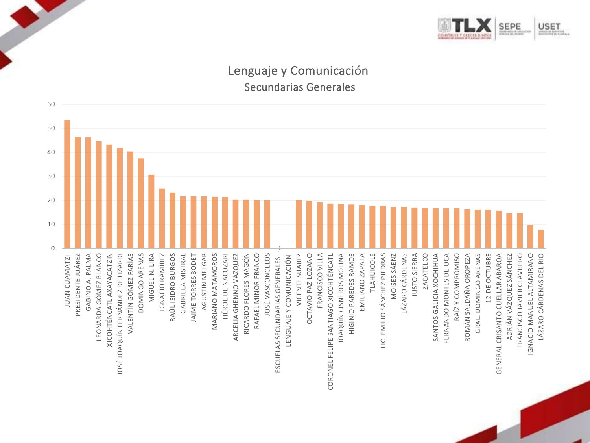

### Lenguaje y Comunicación Secundarias Generales

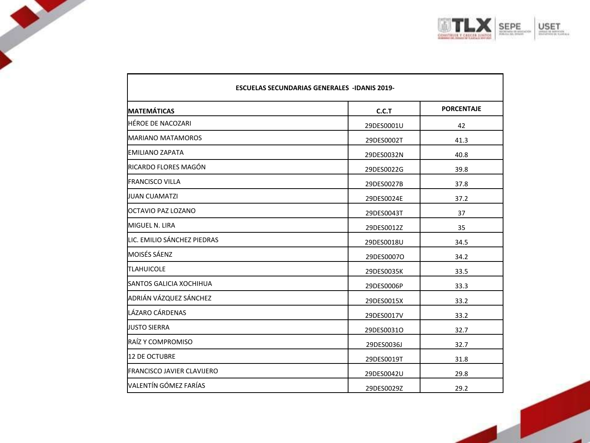

| <b>ESCUELAS SECUNDARIAS GENERALES -IDANIS 2019-</b> |            |                   |
|-----------------------------------------------------|------------|-------------------|
| <b>IMATEMÁTICAS</b>                                 | C.C.T      | <b>PORCENTAJE</b> |
| <b>HÉROE DE NACOZARI</b>                            | 29DES0001U | 42                |
| <b>MARIANO MATAMOROS</b>                            | 29DES0002T | 41.3              |
| EMILIANO ZAPATA                                     | 29DES0032N | 40.8              |
| RICARDO FLORES MAGÓN                                | 29DES0022G | 39.8              |
| <b>FRANCISCO VILLA</b>                              | 29DES0027B | 37.8              |
| <b>JUAN CUAMATZI</b>                                | 29DES0024E | 37.2              |
| OCTAVIO PAZ LOZANO                                  | 29DES0043T | 37                |
| MIGUEL N. LIRA                                      | 29DES0012Z | 35                |
| LIC. EMILIO SÁNCHEZ PIEDRAS                         | 29DES0018U | 34.5              |
| <b>MOISÉS SÁENZ</b>                                 | 29DES0007O | 34.2              |
| <b>TLAHUICOLE</b>                                   | 29DES0035K | 33.5              |
| <b>SANTOS GALICIA XOCHIHUA</b>                      | 29DES0006P | 33.3              |
| ADRIÁN VÁZQUEZ SÁNCHEZ                              | 29DES0015X | 33.2              |
| LÁZARO CÁRDENAS                                     | 29DES0017V | 33.2              |
| <b>JUSTO SIERRA</b>                                 | 29DES0031O | 32.7              |
| RAÍZ Y COMPROMISO                                   | 29DES0036J | 32.7              |
| <b>12 DE OCTUBRE</b>                                | 29DES0019T | 31.8              |
| <b>FRANCISCO JAVIER CLAVIJERO</b>                   | 29DES0042U | 29.8              |
| VALENTÍN GÓMEZ FARÍAS                               | 29DES0029Z | 29.2              |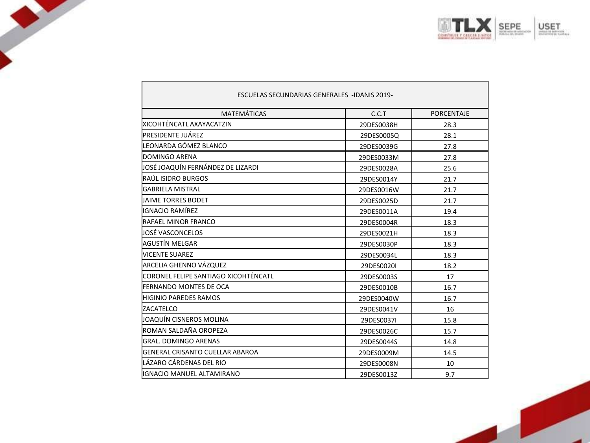

| <b>ESCUELAS SECUNDARIAS GENERALES -IDANIS 2019-</b> |            |                   |
|-----------------------------------------------------|------------|-------------------|
| <b>MATEMÁTICAS</b>                                  | C.C.T      | <b>PORCENTAJE</b> |
| XICOHTÉNCATL AXAYACATZIN                            | 29DES0038H | 28.3              |
| <b>PRESIDENTE JUÁREZ</b>                            | 29DES0005Q | 28.1              |
| LEONARDA GÓMEZ BLANCO                               | 29DES0039G | 27.8              |
| DOMINGO ARENA                                       | 29DES0033M | 27.8              |
| JOSÉ JOAQUÍN FERNÁNDEZ DE LIZARDI                   | 29DES0028A | 25.6              |
| RAÚL ISIDRO BURGOS                                  | 29DES0014Y | 21.7              |
| <b>GABRIELA MISTRAL</b>                             | 29DES0016W | 21.7              |
| JAIME TORRES BODET                                  | 29DES0025D | 21.7              |
| IGNACIO RAMÍREZ                                     | 29DES0011A | 19.4              |
| RAFAEL MINOR FRANCO                                 | 29DES0004R | 18.3              |
| liOSÉ VASCONCELOS                                   | 29DES0021H | 18.3              |
| AGUSTÍN MELGAR                                      | 29DES0030P | 18.3              |
| <b>VICENTE SUAREZ</b>                               | 29DES0034L | 18.3              |
| ARCELIA GHENNO VÁZQUEZ                              | 29DES0020I | 18.2              |
| CORONEL FELIPE SANTIAGO XICOHTÉNCATL                | 29DES0003S | 17                |
| FERNANDO MONTES DE OCA                              | 29DES0010B | 16.7              |
| <b>HIGINIO PAREDES RAMOS</b>                        | 29DES0040W | 16.7              |
| ZACATELCO                                           | 29DES0041V | 16                |
| JOAQUÍN CISNEROS MOLINA                             | 29DES0037I | 15.8              |
| ROMAN SALDAÑA OROPEZA                               | 29DES0026C | 15.7              |
| <b>GRAL, DOMINGO ARENAS</b>                         | 29DES0044S | 14.8              |
| GENERAL CRISANTO CUELLAR ABAROA                     | 29DES0009M | 14.5              |
| LÁZARO CÁRDENAS DEL RIO                             | 29DES0008N | 10                |
| IGNACIO MANUEL ALTAMIRANO                           | 29DES0013Z | 9.7               |

 $\mathbf{I}$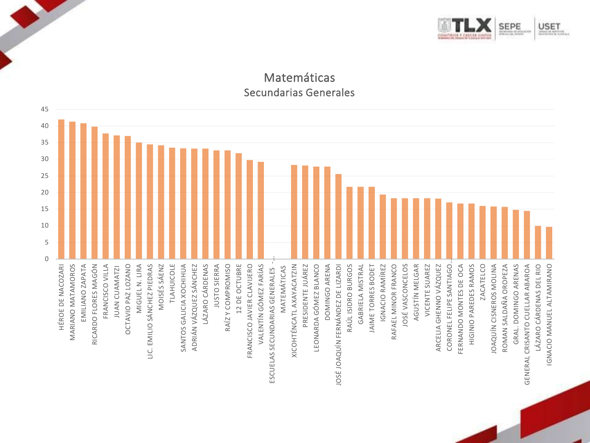

### Matemáticas Secundarias Generales